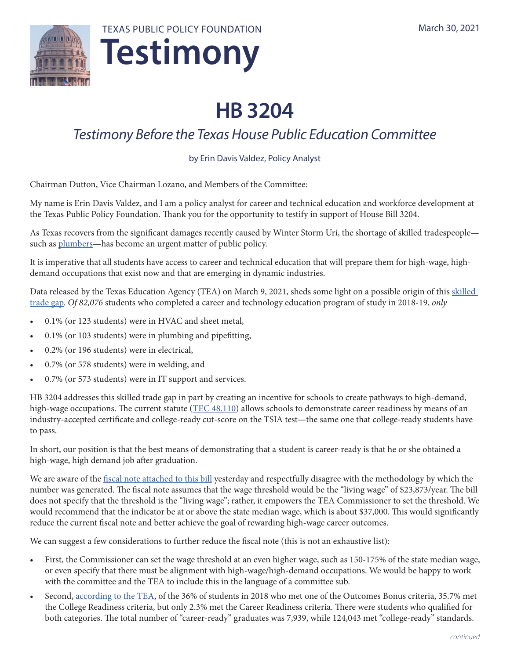



# **HB 3204**

# *Testimony Before the Texas House Public Education Committee*

## by Erin Davis Valdez, Policy Analyst

Chairman Dutton, Vice Chairman Lozano, and Members of the Committee:

My name is Erin Davis Valdez, and I am a policy analyst for career and technical education and workforce development at the Texas Public Policy Foundation. Thank you for the opportunity to testify in support of House Bill 3204.

As Texas recovers from the significant damages recently caused by Winter Storm Uri, the shortage of skilled tradespeople such as [plumbers](https://www.texastribune.org/2021/02/26/texas-plumber-shortage-winter-storm/)—has become an urgent matter of public policy.

It is imperative that all students have access to career and technical education that will prepare them for high-wage, highdemand occupations that exist now and that are emerging in dynamic industries.

[Data released](https://nam11.safelinks.protection.outlook.com/?url=https%3A%2F%2Flnks.gd%2Fl%2FeyJhbGciOiJIUzI1NiJ9.eyJidWxsZXRpbl9saW5rX2lkIjoxMDEsInVyaSI6ImJwMjpjbGljayIsImJ1bGxldGluX2lkIjoiMjAyMTAzMDkuMzY2NTk5NzEiLCJ1cmwiOiJodHRwczovL25hbTEwLnNhZmVsaW5rcy5wcm90ZWN0aW9uLm91dGxvb2suY29tLz91cmw9aHR0cHMlM0ElMkYlMkZ0ZWEudGV4YXMuZ292JTJGc2l0ZXMlMkZkZWZhdWx0JTJGZmlsZXMlMkYyMDE4XzIwMTlfcGVya2luc192X2luZGljYXRvcl9zdGF0ZXdpZGVfcmVwb3J0Lnhsc3gmZGF0YT0wNCU3QzAxJTdDRGFsZS5Gb3dsZXIlNDB0ZWEudGV4YXMuZ292JTdDMTczZmQ0ODU0NzdlNDA0NGUzNWMwOGQ4ZDlhMTRjMTQlN0M2NWQ2YjNjMzcyMzY0ODE4OTYxMzI0OGRiZDcxM2E2ZiU3QzAlN0MwJTdDNjM3NDk4NjM0MDY5MjQ2NjE0JTdDVW5rbm93biU3Q1RXRnBiR1pzYjNkOGV5SldJam9pTUM0d0xqQXdNREFpTENKUUlqb2lWMmx1TXpJaUxDSkJUaUk2SWsxaGFXd2lMQ0pYVkNJNk1uMCUzRCU3QzEwMDAmc2RhdGE9QXBOb3Bxakw3bXJsTmtvQTliM0p0ZHpBUXNyUHJ2S1IyVlE5RnpkTHJLayUzRCZyZXNlcnZlZD0wIn0.O62lG-mGlxp_4F10PeD1_gEmFppswG8AppoAIpDaM2g%2Fs%2F955433715%2Fbr%2F99661268471-l&data=04%7C01%7Cevaldez%40texaspolicy.com%7C41097ad254e84a2fa0c108d8e3485fa8%7Ca09e2cb6dde84dd8ae3df1e84f57dd50%7C0%7C1%7C637509247270362322%7CUnknown%7CTWFpbGZsb3d8eyJWIjoiMC4wLjAwMDAiLCJQIjoiV2luMzIiLCJBTiI6Ik1haWwiLCJXVCI6Mn0%3D%7C1000&sdata=bjCPLPg8BRrNy%2F59qyHCS6McJ3H6u6o06Uw1YEL8cbM%3D&reserved=0) by the Texas Education Agency (TEA) on March 9, 2021, sheds some light on a possible origin of this skilled [trade gap](https://nam11.safelinks.protection.outlook.com/?url=https%3A%2F%2Flnks.gd%2Fl%2FeyJhbGciOiJIUzI1NiJ9.eyJidWxsZXRpbl9saW5rX2lkIjoxMDEsInVyaSI6ImJwMjpjbGljayIsImJ1bGxldGluX2lkIjoiMjAyMTAzMDkuMzY2NTk5NzEiLCJ1cmwiOiJodHRwczovL25hbTEwLnNhZmVsaW5rcy5wcm90ZWN0aW9uLm91dGxvb2suY29tLz91cmw9aHR0cHMlM0ElMkYlMkZ0ZWEudGV4YXMuZ292JTJGc2l0ZXMlMkZkZWZhdWx0JTJGZmlsZXMlMkYyMDE4XzIwMTlfcGVya2luc192X2luZGljYXRvcl9zdGF0ZXdpZGVfcmVwb3J0Lnhsc3gmZGF0YT0wNCU3QzAxJTdDRGFsZS5Gb3dsZXIlNDB0ZWEudGV4YXMuZ292JTdDMTczZmQ0ODU0NzdlNDA0NGUzNWMwOGQ4ZDlhMTRjMTQlN0M2NWQ2YjNjMzcyMzY0ODE4OTYxMzI0OGRiZDcxM2E2ZiU3QzAlN0MwJTdDNjM3NDk4NjM0MDY5MjQ2NjE0JTdDVW5rbm93biU3Q1RXRnBiR1pzYjNkOGV5SldJam9pTUM0d0xqQXdNREFpTENKUUlqb2lWMmx1TXpJaUxDSkJUaUk2SWsxaGFXd2lMQ0pYVkNJNk1uMCUzRCU3QzEwMDAmc2RhdGE9QXBOb3Bxakw3bXJsTmtvQTliM0p0ZHpBUXNyUHJ2S1IyVlE5RnpkTHJLayUzRCZyZXNlcnZlZD0wIn0.O62lG-mGlxp_4F10PeD1_gEmFppswG8AppoAIpDaM2g%2Fs%2F955433715%2Fbr%2F99661268471-l&data=04%7C01%7Cevaldez%40texaspolicy.com%7C41097ad254e84a2fa0c108d8e3485fa8%7Ca09e2cb6dde84dd8ae3df1e84f57dd50%7C0%7C1%7C637509247270362322%7CUnknown%7CTWFpbGZsb3d8eyJWIjoiMC4wLjAwMDAiLCJQIjoiV2luMzIiLCJBTiI6Ik1haWwiLCJXVCI6Mn0%3D%7C1000&sdata=bjCPLPg8BRrNy%2F59qyHCS6McJ3H6u6o06Uw1YEL8cbM%3D&reserved=0). *Of 82,076* students who completed a career and technology education program of study in 2018-19, *only*

- 0.1% (or 123 students) were in HVAC and sheet metal,
- 0.1% (or 103 students) were in plumbing and pipefitting,
- 0.2% (or 196 students) were in electrical,
- 0.7% (or 578 students) were in welding, and
- 0.7% (or 573 students) were in IT support and services.

HB 3204 addresses this skilled trade gap in part by creating an incentive for schools to create pathways to high-demand, high-wage occupations. The current statute [\(TEC 48.110](https://statutes.capitol.texas.gov/Docs/ED/htm/ED.48.htm)) allows schools to demonstrate career readiness by means of an industry-accepted certificate and college-ready cut-score on the TSIA test—the same one that college-ready students have to pass.

In short, our position is that the best means of demonstrating that a student is career-ready is that he or she obtained a high-wage, high demand job after graduation.

We are aware of the [fiscal note attached to this bill](https://capitol.texas.gov/tlodocs/87R/fiscalnotes/pdf/HB03204I.pdf) yesterday and respectfully disagree with the methodology by which the number was generated. The fiscal note assumes that the wage threshold would be the "living wage" of \$23,873/year. The bill does not specify that the threshold is the "living wage"; rather, it empowers the TEA Commissioner to set the threshold. We would recommend that the indicator be at or above the state median wage, which is about \$37,000. This would significantly reduce the current fiscal note and better achieve the goal of rewarding high-wage career outcomes.

We can suggest a few considerations to further reduce the fiscal note (this is not an exhaustive list):

- First, the Commissioner can set the wage threshold at an even higher wage, such as 150-175% of the state median wage, or even specify that there must be alignment with high-wage/high-demand occupations. We would be happy to work with the committee and the TEA to include this in the language of a committee sub.
- Second, [according to the TEA](https://tea.texas.gov/sites/default/files/CCMR-OB-One-Pager-for-Public.pdf), of the 36% of students in 2018 who met one of the Outcomes Bonus criteria, 35.7% met the College Readiness criteria, but only 2.3% met the Career Readiness criteria. There were students who qualified for both categories. The total number of "career-ready" graduates was 7,939, while 124,043 met "college-ready" standards.